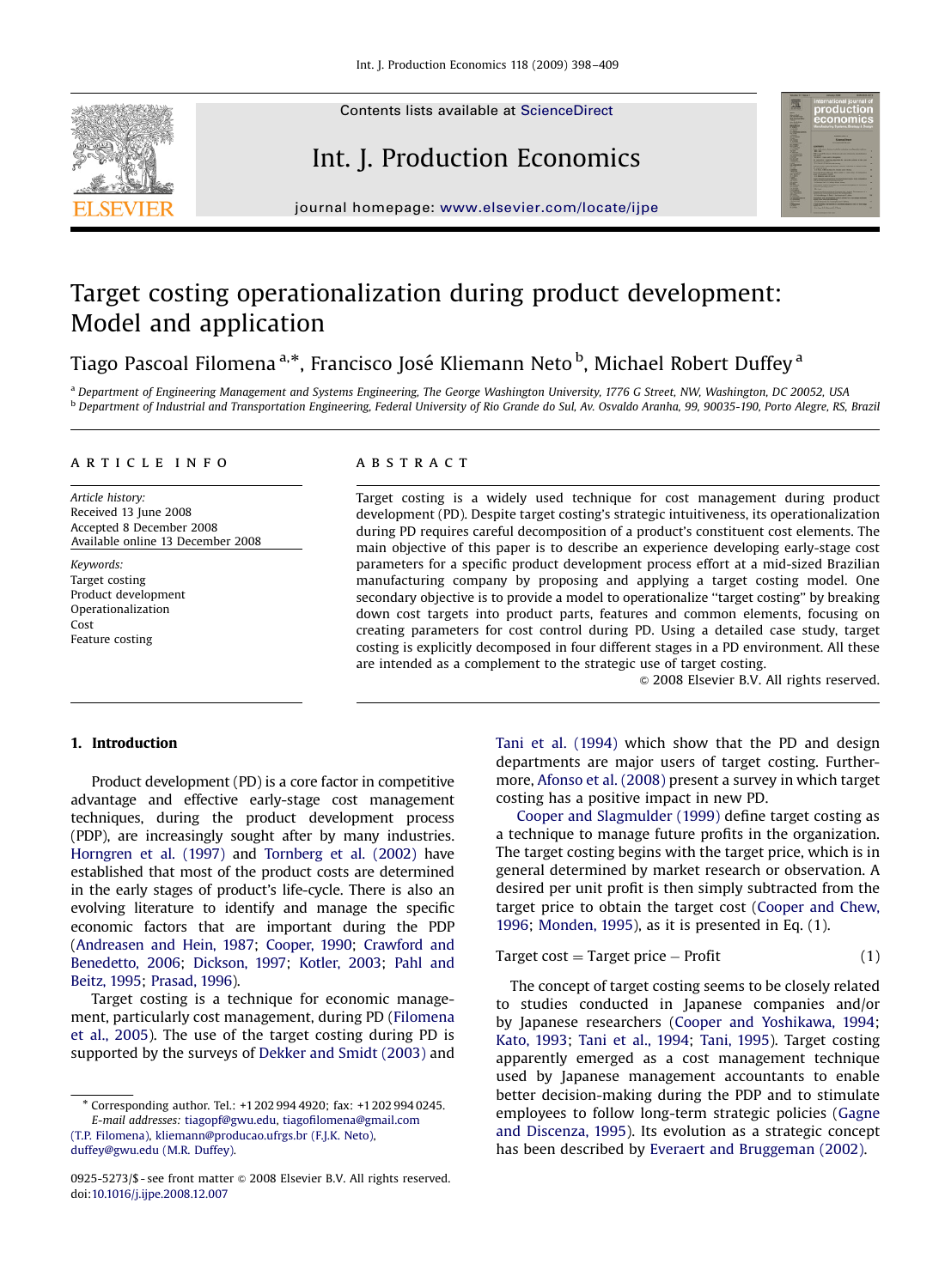Contents lists available at [ScienceDirect](www.sciencedirect.com/science/journal/proeco)

## Int. J. Production Economics



journal homepage: <www.elsevier.com/locate/ijpe>

### Target costing operationalization during product development: Model and application

### Tiago Pascoal Filomena <sup>a,</sup>\*, Francisco José Kliemann Neto <sup>b</sup>, Michael Robert Duffey <sup>a</sup>

a Department of Engineering Management and Systems Engineering, The George Washington University, 1776 G Street, NW, Washington, DC 20052, USA <sup>b</sup> Department of Industrial and Transportation Engineering, Federal University of Rio Grande do Sul, Av. Osvaldo Aranha, 99, 90035-190, Porto Alegre, RS, Brazil

#### article info

Article history: Received 13 June 2008 Accepted 8 December 2008 Available online 13 December 2008

Keywords: Target costing Product development Operationalization Cost Feature costing

#### **ABSTRACT**

Target costing is a widely used technique for cost management during product development (PD). Despite target costing's strategic intuitiveness, its operationalization during PD requires careful decomposition of a product's constituent cost elements. The main objective of this paper is to describe an experience developing early-stage cost parameters for a specific product development process effort at a mid-sized Brazilian manufacturing company by proposing and applying a target costing model. One secondary objective is to provide a model to operationalize ''target costing'' by breaking down cost targets into product parts, features and common elements, focusing on creating parameters for cost control during PD. Using a detailed case study, target costing is explicitly decomposed in four different stages in a PD environment. All these are intended as a complement to the strategic use of target costing.

 $© 2008 Elsevier B.V. All rights reserved.$ 

#### 1. Introduction

Product development (PD) is a core factor in competitive advantage and effective early-stage cost management techniques, during the product development process (PDP), are increasingly sought after by many industries. [Horngren et al. \(1997\)](#page--1-0) and [Tornberg et al. \(2002\)](#page--1-0) have established that most of the product costs are determined in the early stages of product's life-cycle. There is also an evolving literature to identify and manage the specific economic factors that are important during the PDP ([Andreasen and Hein, 1987](#page--1-0); [Cooper, 1990;](#page--1-0) [Crawford and](#page--1-0) [Benedetto, 2006;](#page--1-0) [Dickson, 1997;](#page--1-0) [Kotler, 2003;](#page--1-0) [Pahl and](#page--1-0) [Beitz, 1995;](#page--1-0) [Prasad, 1996\)](#page--1-0).

Target costing is a technique for economic management, particularly cost management, during PD ([Filomena](#page--1-0) [et al., 2005\)](#page--1-0). The use of the target costing during PD is supported by the surveys of [Dekker and Smidt \(2003\)](#page--1-0) and

[Tani et al. \(1994\)](#page--1-0) which show that the PD and design departments are major users of target costing. Furthermore, [Afonso et al. \(2008\)](#page--1-0) present a survey in which target costing has a positive impact in new PD.

[Cooper and Slagmulder \(1999\)](#page--1-0) define target costing as a technique to manage future profits in the organization. The target costing begins with the target price, which is in general determined by market research or observation. A desired per unit profit is then simply subtracted from the target price to obtain the target cost ([Cooper and Chew,](#page--1-0) [1996;](#page--1-0) [Monden, 1995\)](#page--1-0), as it is presented in Eq. (1).

 $Target cost = Target price - Profit$  (1)

The concept of target costing seems to be closely related to studies conducted in Japanese companies and/or by Japanese researchers [\(Cooper and Yoshikawa, 1994](#page--1-0); [Kato, 1993](#page--1-0); [Tani et al., 1994](#page--1-0); [Tani, 1995\)](#page--1-0). Target costing apparently emerged as a cost management technique used by Japanese management accountants to enable better decision-making during the PDP and to stimulate employees to follow long-term strategic policies [\(Gagne](#page--1-0) [and Discenza, 1995](#page--1-0)). Its evolution as a strategic concept has been described by [Everaert and Bruggeman \(2002\).](#page--1-0)



<sup>-</sup> Corresponding author. Tel.: +1 202 994 4920; fax: +1 202 994 0245. E-mail addresses: [tiagopf@gwu.edu](mailto:tiagopf@gwu.edu,), [tiagofilomena@gmail.com](mailto:tiagofilomena@gmail.com) [\(T.P. Filomena\),](mailto:tiagofilomena@gmail.com) [kliemann@producao.ufrgs.br \(F.J.K. Neto\)](mailto:kliemann@producao.ufrgs.br), [duffey@gwu.edu \(M.R. Duffey\).](mailto:duffey@gwu.edu)

<sup>0925-5273/\$ -</sup> see front matter  $\circ$  2008 Elsevier B.V. All rights reserved. doi:[10.1016/j.ijpe.2008.12.007](dx.doi.org/10.1016/j.ijpe.2008.12.007)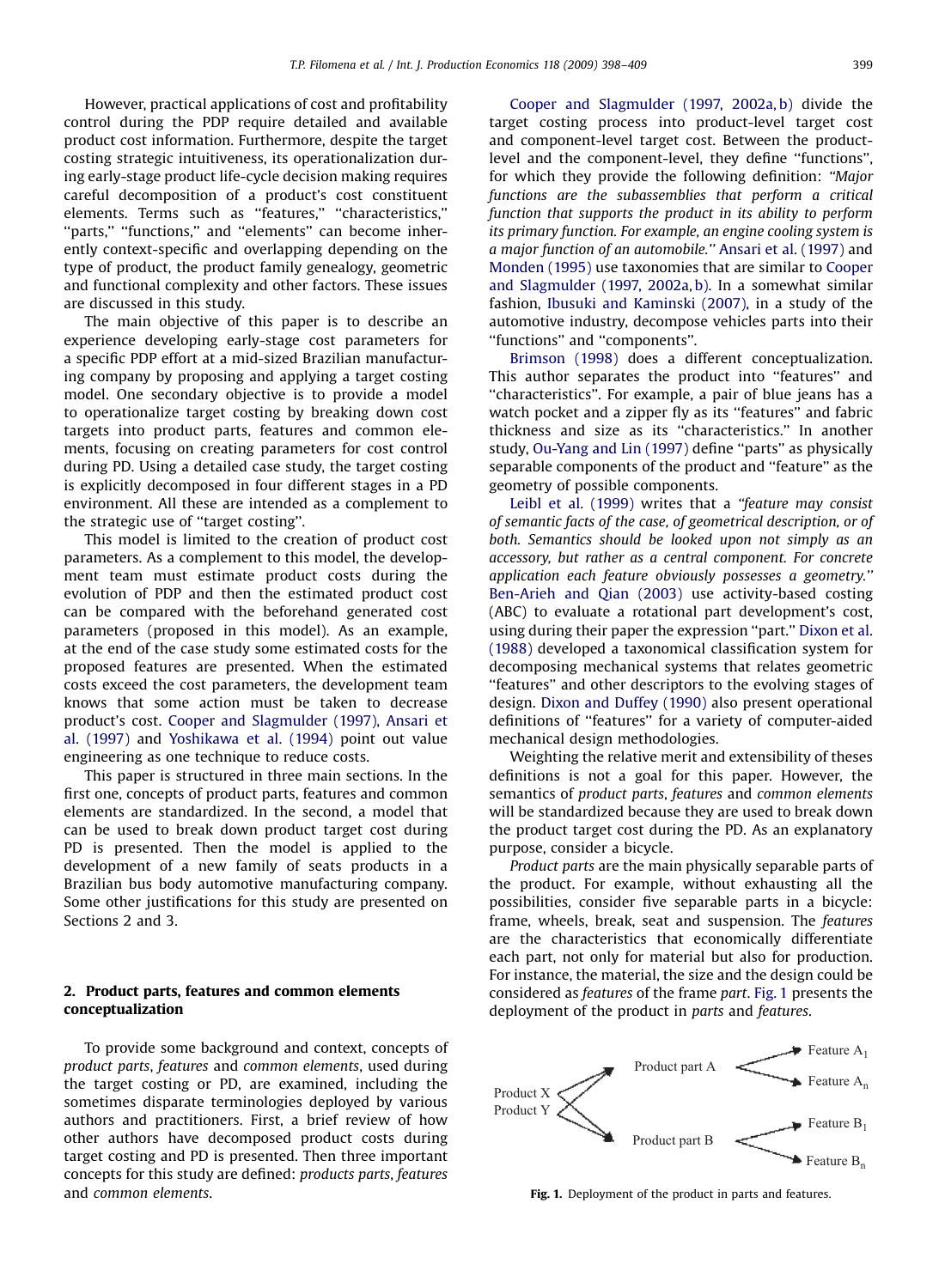However, practical applications of cost and profitability control during the PDP require detailed and available product cost information. Furthermore, despite the target costing strategic intuitiveness, its operationalization during early-stage product life-cycle decision making requires careful decomposition of a product's cost constituent elements. Terms such as ''features,'' ''characteristics,'' "parts," "functions," and "elements" can become inherently context-specific and overlapping depending on the type of product, the product family genealogy, geometric and functional complexity and other factors. These issues are discussed in this study.

The main objective of this paper is to describe an experience developing early-stage cost parameters for a specific PDP effort at a mid-sized Brazilian manufacturing company by proposing and applying a target costing model. One secondary objective is to provide a model to operationalize target costing by breaking down cost targets into product parts, features and common elements, focusing on creating parameters for cost control during PD. Using a detailed case study, the target costing is explicitly decomposed in four different stages in a PD environment. All these are intended as a complement to the strategic use of ''target costing''.

This model is limited to the creation of product cost parameters. As a complement to this model, the development team must estimate product costs during the evolution of PDP and then the estimated product cost can be compared with the beforehand generated cost parameters (proposed in this model). As an example, at the end of the case study some estimated costs for the proposed features are presented. When the estimated costs exceed the cost parameters, the development team knows that some action must be taken to decrease product's cost. [Cooper and Slagmulder \(1997\)](#page--1-0), [Ansari et](#page--1-0) [al. \(1997\)](#page--1-0) and [Yoshikawa et al. \(1994\)](#page--1-0) point out value engineering as one technique to reduce costs.

This paper is structured in three main sections. In the first one, concepts of product parts, features and common elements are standardized. In the second, a model that can be used to break down product target cost during PD is presented. Then the model is applied to the development of a new family of seats products in a Brazilian bus body automotive manufacturing company. Some other justifications for this study are presented on Sections 2 and 3.

#### 2. Product parts, features and common elements conceptualization

To provide some background and context, concepts of product parts, features and common elements, used during the target costing or PD, are examined, including the sometimes disparate terminologies deployed by various authors and practitioners. First, a brief review of how other authors have decomposed product costs during target costing and PD is presented. Then three important concepts for this study are defined: products parts, features and common elements.

[Cooper and Slagmulder \(1997, 2002a, b\)](#page--1-0) divide the target costing process into product-level target cost and component-level target cost. Between the productlevel and the component-level, they define ''functions'', for which they provide the following definition: ''Major functions are the subassemblies that perform a critical function that supports the product in its ability to perform its primary function. For example, an engine cooling system is a major function of an automobile.'' [Ansari et al. \(1997\)](#page--1-0) and [Monden \(1995\)](#page--1-0) use taxonomies that are similar to [Cooper](#page--1-0) [and Slagmulder \(1997, 2002a, b\)](#page--1-0). In a somewhat similar fashion, [Ibusuki and Kaminski \(2007\),](#page--1-0) in a study of the automotive industry, decompose vehicles parts into their ''functions'' and ''components''.

[Brimson \(1998\)](#page--1-0) does a different conceptualization. This author separates the product into ''features'' and ''characteristics''. For example, a pair of blue jeans has a watch pocket and a zipper fly as its ''features'' and fabric thickness and size as its ''characteristics.'' In another study, [Ou-Yang and Lin \(1997\)](#page--1-0) define ''parts'' as physically separable components of the product and ''feature'' as the geometry of possible components.

[Leibl et al. \(1999\)](#page--1-0) writes that a "feature may consist of semantic facts of the case, of geometrical description, or of both. Semantics should be looked upon not simply as an accessory, but rather as a central component. For concrete application each feature obviously possesses a geometry.'' [Ben-Arieh and Qian \(2003\)](#page--1-0) use activity-based costing (ABC) to evaluate a rotational part development's cost, using during their paper the expression ''part.'' [Dixon et al.](#page--1-0) [\(1988\)](#page--1-0) developed a taxonomical classification system for decomposing mechanical systems that relates geometric ''features'' and other descriptors to the evolving stages of design. [Dixon and Duffey \(1990\)](#page--1-0) also present operational definitions of ''features'' for a variety of computer-aided mechanical design methodologies.

Weighting the relative merit and extensibility of theses definitions is not a goal for this paper. However, the semantics of product parts, features and common elements will be standardized because they are used to break down the product target cost during the PD. As an explanatory purpose, consider a bicycle.

Product parts are the main physically separable parts of the product. For example, without exhausting all the possibilities, consider five separable parts in a bicycle: frame, wheels, break, seat and suspension. The features are the characteristics that economically differentiate each part, not only for material but also for production. For instance, the material, the size and the design could be considered as features of the frame part. Fig. 1 presents the deployment of the product in parts and features.



Fig. 1. Deployment of the product in parts and features.